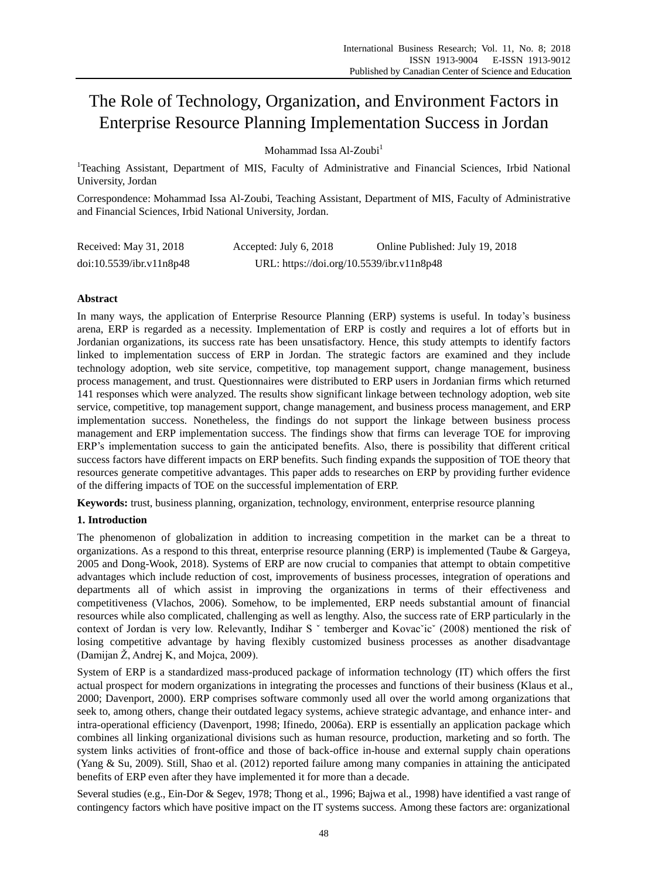# The Role of Technology, Organization, and Environment Factors in Enterprise Resource Planning Implementation Success in Jordan

Mohammad Issa Al-Zoubi<sup>1</sup>

<sup>1</sup>Teaching Assistant, Department of MIS, Faculty of Administrative and Financial Sciences, Irbid National University, Jordan

Correspondence: Mohammad Issa Al-Zoubi, Teaching Assistant, Department of MIS, Faculty of Administrative and Financial Sciences, Irbid National University, Jordan.

| Received: May 31, 2018   | Accepted: July 6, $2018$                  | Online Published: July 19, 2018 |
|--------------------------|-------------------------------------------|---------------------------------|
| doi:10.5539/ibr.v11n8p48 | URL: https://doi.org/10.5539/ibr.v11n8p48 |                                 |

# **Abstract**

In many ways, the application of Enterprise Resource Planning (ERP) systems is useful. In today's business arena, ERP is regarded as a necessity. Implementation of ERP is costly and requires a lot of efforts but in Jordanian organizations, its success rate has been unsatisfactory. Hence, this study attempts to identify factors linked to implementation success of ERP in Jordan. The strategic factors are examined and they include technology adoption, web site service, competitive, top management support, change management, business process management, and trust. Questionnaires were distributed to ERP users in Jordanian firms which returned 141 responses which were analyzed. The results show significant linkage between technology adoption, web site service, competitive, top management support, change management, and business process management, and ERP implementation success. Nonetheless, the findings do not support the linkage between business process management and ERP implementation success. The findings show that firms can leverage TOE for improving ERP's implementation success to gain the anticipated benefits. Also, there is possibility that different critical success factors have different impacts on ERP benefits. Such finding expands the supposition of TOE theory that resources generate competitive advantages. This paper adds to researches on ERP by providing further evidence of the differing impacts of TOE on the successful implementation of ERP.

**Keywords:** trust, business planning, organization, technology, environment, enterprise resource planning

# **1. Introduction**

The phenomenon of globalization in addition to increasing competition in the market can be a threat to organizations. As a respond to this threat, enterprise resource planning (ERP) is implemented (Taube & Gargeya, 2005 and Dong-Wook, 2018). Systems of ERP are now crucial to companies that attempt to obtain competitive advantages which include reduction of cost, improvements of business processes, integration of operations and departments all of which assist in improving the organizations in terms of their effectiveness and competitiveness (Vlachos, 2006). Somehow, to be implemented, ERP needs substantial amount of financial resources while also complicated, challenging as well as lengthy. Also, the success rate of ERP particularly in the context of Jordan is very low. Relevantly, Indihar S ˇ temberger and Kovacˇicˇ (2008) mentioned the risk of losing competitive advantage by having flexibly customized business processes as another disadvantage (Damijan Ž, Andrej K, and Mojca, 2009).

System of ERP is a standardized mass-produced package of information technology (IT) which offers the first actual prospect for modern organizations in integrating the processes and functions of their business (Klaus et al., 2000; Davenport, 2000). ERP comprises software commonly used all over the world among organizations that seek to, among others, change their outdated legacy systems, achieve strategic advantage, and enhance inter- and intra-operational efficiency (Davenport, 1998; Ifinedo, 2006a). ERP is essentially an application package which combines all linking organizational divisions such as human resource, production, marketing and so forth. The system links activities of front-office and those of back-office in-house and external supply chain operations (Yang & Su, 2009). Still, Shao et al. (2012) reported failure among many companies in attaining the anticipated benefits of ERP even after they have implemented it for more than a decade.

Several studies (e.g., Ein-Dor & Segev, 1978; Thong et al., 1996; Bajwa et al., 1998) have identified a vast range of contingency factors which have positive impact on the IT systems success. Among these factors are: organizational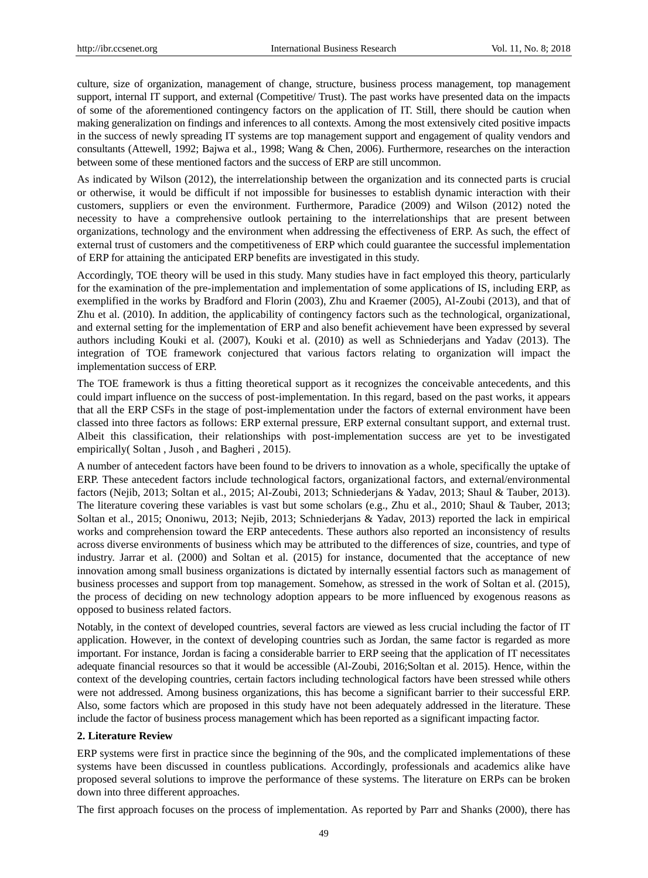culture, size of organization, management of change, structure, business process management, top management support, internal IT support, and external (Competitive/ Trust). The past works have presented data on the impacts of some of the aforementioned contingency factors on the application of IT. Still, there should be caution when making generalization on findings and inferences to all contexts. Among the most extensively cited positive impacts in the success of newly spreading IT systems are top management support and engagement of quality vendors and consultants (Attewell, 1992; Bajwa et al., 1998; Wang & Chen, 2006). Furthermore, researches on the interaction between some of these mentioned factors and the success of ERP are still uncommon.

As indicated by Wilson (2012), the interrelationship between the organization and its connected parts is crucial or otherwise, it would be difficult if not impossible for businesses to establish dynamic interaction with their customers, suppliers or even the environment. Furthermore, Paradice (2009) and Wilson (2012) noted the necessity to have a comprehensive outlook pertaining to the interrelationships that are present between organizations, technology and the environment when addressing the effectiveness of ERP. As such, the effect of external trust of customers and the competitiveness of ERP which could guarantee the successful implementation of ERP for attaining the anticipated ERP benefits are investigated in this study.

Accordingly, TOE theory will be used in this study. Many studies have in fact employed this theory, particularly for the examination of the pre-implementation and implementation of some applications of IS, including ERP, as exemplified in the works by Bradford and Florin (2003), Zhu and Kraemer (2005), Al-Zoubi (2013), and that of Zhu et al. (2010). In addition, the applicability of contingency factors such as the technological, organizational, and external setting for the implementation of ERP and also benefit achievement have been expressed by several authors including Kouki et al. (2007), Kouki et al. (2010) as well as Schniederjans and Yadav (2013). The integration of TOE framework conjectured that various factors relating to organization will impact the implementation success of ERP.

The TOE framework is thus a fitting theoretical support as it recognizes the conceivable antecedents, and this could impart influence on the success of post-implementation. In this regard, based on the past works, it appears that all the ERP CSFs in the stage of post-implementation under the factors of external environment have been classed into three factors as follows: ERP external pressure, ERP external consultant support, and external trust. Albeit this classification, their relationships with post-implementation success are yet to be investigated empirically( Soltan , Jusoh , and Bagheri , 2015).

A number of antecedent factors have been found to be drivers to innovation as a whole, specifically the uptake of ERP. These antecedent factors include technological factors, organizational factors, and external/environmental factors (Nejib, 2013; Soltan et al., 2015; Al-Zoubi, 2013; Schniederjans & Yadav, 2013; Shaul & Tauber, 2013). The literature covering these variables is vast but some scholars (e.g., Zhu et al., 2010; Shaul & Tauber, 2013; Soltan et al., 2015; Ononiwu, 2013; Nejib, 2013; Schniederjans & Yadav, 2013) reported the lack in empirical works and comprehension toward the ERP antecedents. These authors also reported an inconsistency of results across diverse environments of business which may be attributed to the differences of size, countries, and type of industry. Jarrar et al. (2000) and Soltan et al. (2015) for instance, documented that the acceptance of new innovation among small business organizations is dictated by internally essential factors such as management of business processes and support from top management. Somehow, as stressed in the work of Soltan et al. (2015), the process of deciding on new technology adoption appears to be more influenced by exogenous reasons as opposed to business related factors.

Notably, in the context of developed countries, several factors are viewed as less crucial including the factor of IT application. However, in the context of developing countries such as Jordan, the same factor is regarded as more important. For instance, Jordan is facing a considerable barrier to ERP seeing that the application of IT necessitates adequate financial resources so that it would be accessible (Al-Zoubi, 2016;Soltan et al. 2015). Hence, within the context of the developing countries, certain factors including technological factors have been stressed while others were not addressed. Among business organizations, this has become a significant barrier to their successful ERP. Also, some factors which are proposed in this study have not been adequately addressed in the literature. These include the factor of business process management which has been reported as a significant impacting factor.

## **2. Literature Review**

ERP systems were first in practice since the beginning of the 90s, and the complicated implementations of these systems have been discussed in countless publications. Accordingly, professionals and academics alike have proposed several solutions to improve the performance of these systems. The literature on ERPs can be broken down into three different approaches.

The first approach focuses on the process of implementation. As reported by Parr and Shanks (2000), there has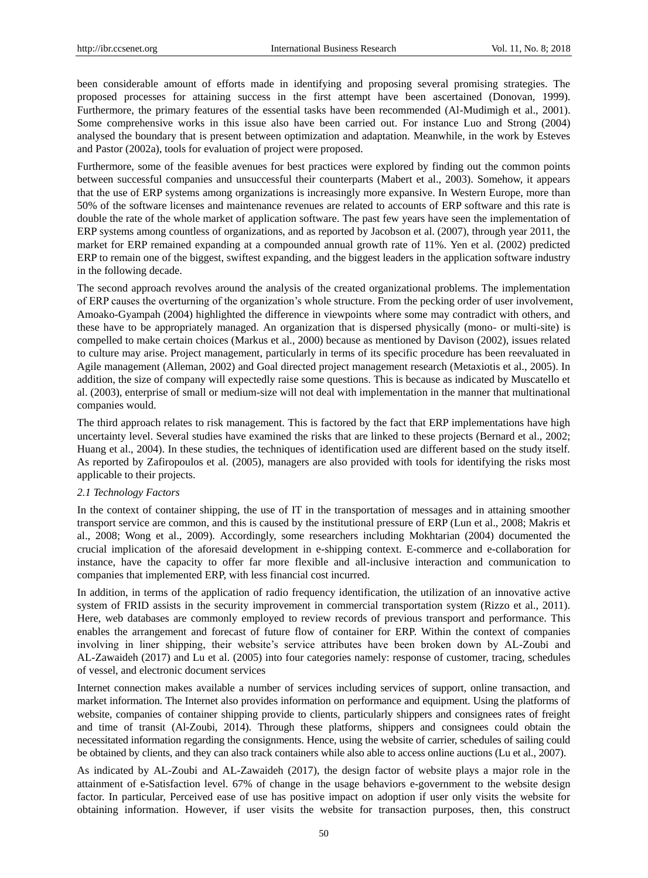been considerable amount of efforts made in identifying and proposing several promising strategies. The proposed processes for attaining success in the first attempt have been ascertained (Donovan, 1999). Furthermore, the primary features of the essential tasks have been recommended (Al-Mudimigh et al., 2001). Some comprehensive works in this issue also have been carried out. For instance Luo and Strong (2004) analysed the boundary that is present between optimization and adaptation. Meanwhile, in the work by Esteves and Pastor (2002a), tools for evaluation of project were proposed.

Furthermore, some of the feasible avenues for best practices were explored by finding out the common points between successful companies and unsuccessful their counterparts (Mabert et al., 2003). Somehow, it appears that the use of ERP systems among organizations is increasingly more expansive. In Western Europe, more than 50% of the software licenses and maintenance revenues are related to accounts of ERP software and this rate is double the rate of the whole market of application software. The past few years have seen the implementation of ERP systems among countless of organizations, and as reported by Jacobson et al. (2007), through year 2011, the market for ERP remained expanding at a compounded annual growth rate of 11%. Yen et al. (2002) predicted ERP to remain one of the biggest, swiftest expanding, and the biggest leaders in the application software industry in the following decade.

The second approach revolves around the analysis of the created organizational problems. The implementation of ERP causes the overturning of the organization's whole structure. From the pecking order of user involvement, Amoako-Gyampah (2004) highlighted the difference in viewpoints where some may contradict with others, and these have to be appropriately managed. An organization that is dispersed physically (mono- or multi-site) is compelled to make certain choices (Markus et al., 2000) because as mentioned by Davison (2002), issues related to culture may arise. Project management, particularly in terms of its specific procedure has been reevaluated in Agile management (Alleman, 2002) and Goal directed project management research (Metaxiotis et al., 2005). In addition, the size of company will expectedly raise some questions. This is because as indicated by Muscatello et al. (2003), enterprise of small or medium-size will not deal with implementation in the manner that multinational companies would.

The third approach relates to risk management. This is factored by the fact that ERP implementations have high uncertainty level. Several studies have examined the risks that are linked to these projects (Bernard et al., 2002; Huang et al., 2004). In these studies, the techniques of identification used are different based on the study itself. As reported by Zafiropoulos et al. (2005), managers are also provided with tools for identifying the risks most applicable to their projects.

## *2.1 Technology Factors*

In the context of container shipping, the use of IT in the transportation of messages and in attaining smoother transport service are common, and this is caused by the institutional pressure of ERP (Lun et al., 2008; Makris et al., 2008; Wong et al., 2009). Accordingly, some researchers including Mokhtarian (2004) documented the crucial implication of the aforesaid development in e-shipping context. E-commerce and e-collaboration for instance, have the capacity to offer far more flexible and all-inclusive interaction and communication to companies that implemented ERP, with less financial cost incurred.

In addition, in terms of the application of radio frequency identification, the utilization of an innovative active system of FRID assists in the security improvement in commercial transportation system (Rizzo et al., 2011). Here, web databases are commonly employed to review records of previous transport and performance. This enables the arrangement and forecast of future flow of container for ERP. Within the context of companies involving in liner shipping, their website's service attributes have been broken down by AL-Zoubi and AL-Zawaideh (2017) and Lu et al. (2005) into four categories namely: response of customer, tracing, schedules of vessel, and electronic document services

Internet connection makes available a number of services including services of support, online transaction, and market information. The Internet also provides information on performance and equipment. Using the platforms of website, companies of container shipping provide to clients, particularly shippers and consignees rates of freight and time of transit (Al-Zoubi, 2014). Through these platforms, shippers and consignees could obtain the necessitated information regarding the consignments. Hence, using the website of carrier, schedules of sailing could be obtained by clients, and they can also track containers while also able to access online auctions (Lu et al., 2007).

As indicated by AL-Zoubi and AL-Zawaideh (2017), the design factor of website plays a major role in the attainment of e-Satisfaction level. 67% of change in the usage behaviors e-government to the website design factor. In particular, Perceived ease of use has positive impact on adoption if user only visits the website for obtaining information. However, if user visits the website for transaction purposes, then, this construct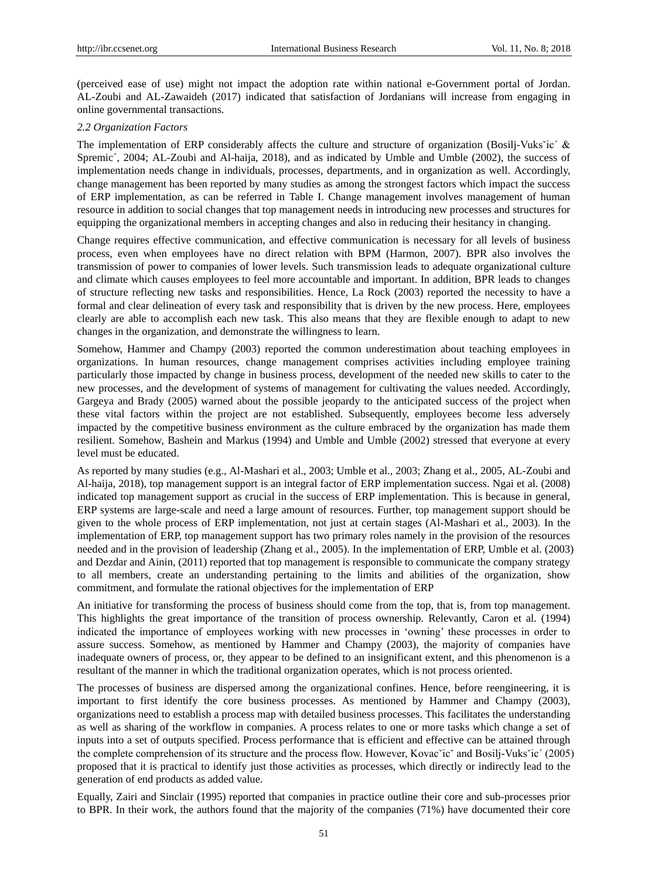(perceived ease of use) might not impact the adoption rate within national e-Government portal of Jordan. AL-Zoubi and AL-Zawaideh (2017) indicated that satisfaction of Jordanians will increase from engaging in online governmental transactions.

## *2.2 Organization Factors*

The implementation of ERP considerably affects the culture and structure of organization (Bosilj-Vuks $\text{`ic' } \&$ Spremic, 2004; AL-Zoubi and Al-haija, 2018), and as indicated by Umble and Umble (2002), the success of implementation needs change in individuals, processes, departments, and in organization as well. Accordingly, change management has been reported by many studies as among the strongest factors which impact the success of ERP implementation, as can be referred in Table I. Change management involves management of human resource in addition to social changes that top management needs in introducing new processes and structures for equipping the organizational members in accepting changes and also in reducing their hesitancy in changing.

Change requires effective communication, and effective communication is necessary for all levels of business process, even when employees have no direct relation with BPM (Harmon, 2007). BPR also involves the transmission of power to companies of lower levels. Such transmission leads to adequate organizational culture and climate which causes employees to feel more accountable and important. In addition, BPR leads to changes of structure reflecting new tasks and responsibilities. Hence, La Rock (2003) reported the necessity to have a formal and clear delineation of every task and responsibility that is driven by the new process. Here, employees clearly are able to accomplish each new task. This also means that they are flexible enough to adapt to new changes in the organization, and demonstrate the willingness to learn.

Somehow, Hammer and Champy (2003) reported the common underestimation about teaching employees in organizations. In human resources, change management comprises activities including employee training particularly those impacted by change in business process, development of the needed new skills to cater to the new processes, and the development of systems of management for cultivating the values needed. Accordingly, Gargeya and Brady (2005) warned about the possible jeopardy to the anticipated success of the project when these vital factors within the project are not established. Subsequently, employees become less adversely impacted by the competitive business environment as the culture embraced by the organization has made them resilient. Somehow, Bashein and Markus (1994) and Umble and Umble (2002) stressed that everyone at every level must be educated.

As reported by many studies (e.g., Al-Mashari et al., 2003; Umble et al., 2003; Zhang et al., 2005, AL-Zoubi and Al-haija, 2018), top management support is an integral factor of ERP implementation success. Ngai et al. (2008) indicated top management support as crucial in the success of ERP implementation. This is because in general, ERP systems are large-scale and need a large amount of resources. Further, top management support should be given to the whole process of ERP implementation, not just at certain stages (Al-Mashari et al., 2003). In the implementation of ERP, top management support has two primary roles namely in the provision of the resources needed and in the provision of leadership (Zhang et al., 2005). In the implementation of ERP, Umble et al. (2003) and Dezdar and Ainin, (2011) reported that top management is responsible to communicate the company strategy to all members, create an understanding pertaining to the limits and abilities of the organization, show commitment, and formulate the rational objectives for the implementation of ERP

An initiative for transforming the process of business should come from the top, that is, from top management. This highlights the great importance of the transition of process ownership. Relevantly, Caron et al. (1994) indicated the importance of employees working with new processes in 'owning' these processes in order to assure success. Somehow, as mentioned by Hammer and Champy (2003), the majority of companies have inadequate owners of process, or, they appear to be defined to an insignificant extent, and this phenomenon is a resultant of the manner in which the traditional organization operates, which is not process oriented.

The processes of business are dispersed among the organizational confines. Hence, before reengineering, it is important to first identify the core business processes. As mentioned by Hammer and Champy (2003), organizations need to establish a process map with detailed business processes. This facilitates the understanding as well as sharing of the workflow in companies. A process relates to one or more tasks which change a set of inputs into a set of outputs specified. Process performance that is efficient and effective can be attained through the complete comprehension of its structure and the process flow. However, Kovacˇicˇ and Bosilj-Vuksˇic´ (2005) proposed that it is practical to identify just those activities as processes, which directly or indirectly lead to the generation of end products as added value.

Equally, Zairi and Sinclair (1995) reported that companies in practice outline their core and sub-processes prior to BPR. In their work, the authors found that the majority of the companies (71%) have documented their core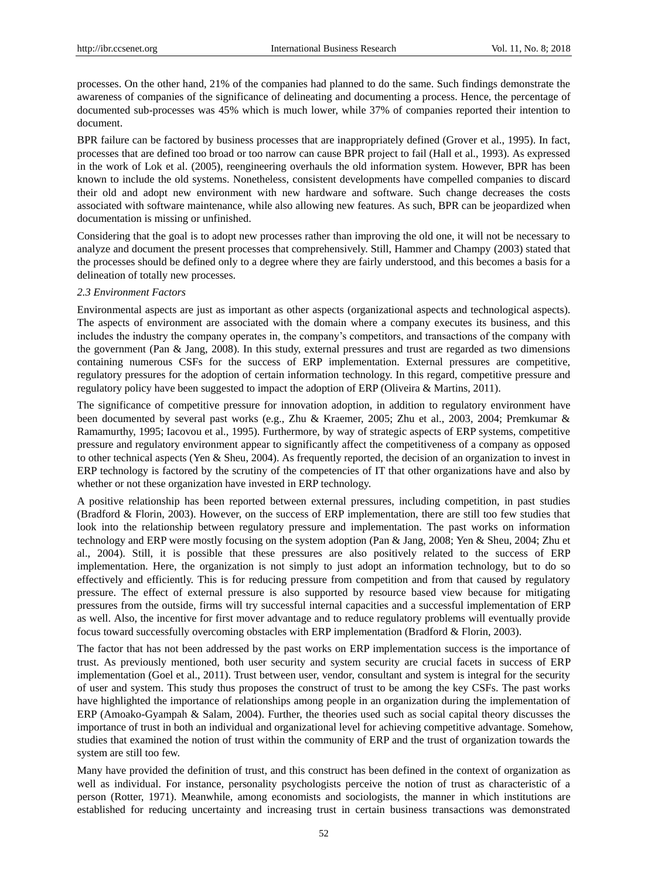processes. On the other hand, 21% of the companies had planned to do the same. Such findings demonstrate the awareness of companies of the significance of delineating and documenting a process. Hence, the percentage of documented sub-processes was 45% which is much lower, while 37% of companies reported their intention to document.

BPR failure can be factored by business processes that are inappropriately defined (Grover et al., 1995). In fact, processes that are defined too broad or too narrow can cause BPR project to fail (Hall et al., 1993). As expressed in the work of Lok et al. (2005), reengineering overhauls the old information system. However, BPR has been known to include the old systems. Nonetheless, consistent developments have compelled companies to discard their old and adopt new environment with new hardware and software. Such change decreases the costs associated with software maintenance, while also allowing new features. As such, BPR can be jeopardized when documentation is missing or unfinished.

Considering that the goal is to adopt new processes rather than improving the old one, it will not be necessary to analyze and document the present processes that comprehensively. Still, Hammer and Champy (2003) stated that the processes should be defined only to a degree where they are fairly understood, and this becomes a basis for a delineation of totally new processes.

## *2.3 Environment Factors*

Environmental aspects are just as important as other aspects (organizational aspects and technological aspects). The aspects of environment are associated with the domain where a company executes its business, and this includes the industry the company operates in, the company's competitors, and transactions of the company with the government (Pan & Jang, 2008). In this study, external pressures and trust are regarded as two dimensions containing numerous CSFs for the success of ERP implementation. External pressures are competitive, regulatory pressures for the adoption of certain information technology. In this regard, competitive pressure and regulatory policy have been suggested to impact the adoption of ERP (Oliveira & Martins, 2011).

The significance of competitive pressure for innovation adoption, in addition to regulatory environment have been documented by several past works (e.g., Zhu & Kraemer, 2005; Zhu et al., 2003, 2004; Premkumar & Ramamurthy, 1995; Iacovou et al., 1995). Furthermore, by way of strategic aspects of ERP systems, competitive pressure and regulatory environment appear to significantly affect the competitiveness of a company as opposed to other technical aspects (Yen & Sheu, 2004). As frequently reported, the decision of an organization to invest in ERP technology is factored by the scrutiny of the competencies of IT that other organizations have and also by whether or not these organization have invested in ERP technology.

A positive relationship has been reported between external pressures, including competition, in past studies (Bradford & Florin, 2003). However, on the success of ERP implementation, there are still too few studies that look into the relationship between regulatory pressure and implementation. The past works on information technology and ERP were mostly focusing on the system adoption (Pan & Jang, 2008; Yen & Sheu, 2004; Zhu et al., 2004). Still, it is possible that these pressures are also positively related to the success of ERP implementation. Here, the organization is not simply to just adopt an information technology, but to do so effectively and efficiently. This is for reducing pressure from competition and from that caused by regulatory pressure. The effect of external pressure is also supported by resource based view because for mitigating pressures from the outside, firms will try successful internal capacities and a successful implementation of ERP as well. Also, the incentive for first mover advantage and to reduce regulatory problems will eventually provide focus toward successfully overcoming obstacles with ERP implementation (Bradford & Florin, 2003).

The factor that has not been addressed by the past works on ERP implementation success is the importance of trust. As previously mentioned, both user security and system security are crucial facets in success of ERP implementation (Goel et al., 2011). Trust between user, vendor, consultant and system is integral for the security of user and system. This study thus proposes the construct of trust to be among the key CSFs. The past works have highlighted the importance of relationships among people in an organization during the implementation of ERP (Amoako-Gyampah & Salam, 2004). Further, the theories used such as social capital theory discusses the importance of trust in both an individual and organizational level for achieving competitive advantage. Somehow, studies that examined the notion of trust within the community of ERP and the trust of organization towards the system are still too few.

Many have provided the definition of trust, and this construct has been defined in the context of organization as well as individual. For instance, personality psychologists perceive the notion of trust as characteristic of a person (Rotter, 1971). Meanwhile, among economists and sociologists, the manner in which institutions are established for reducing uncertainty and increasing trust in certain business transactions was demonstrated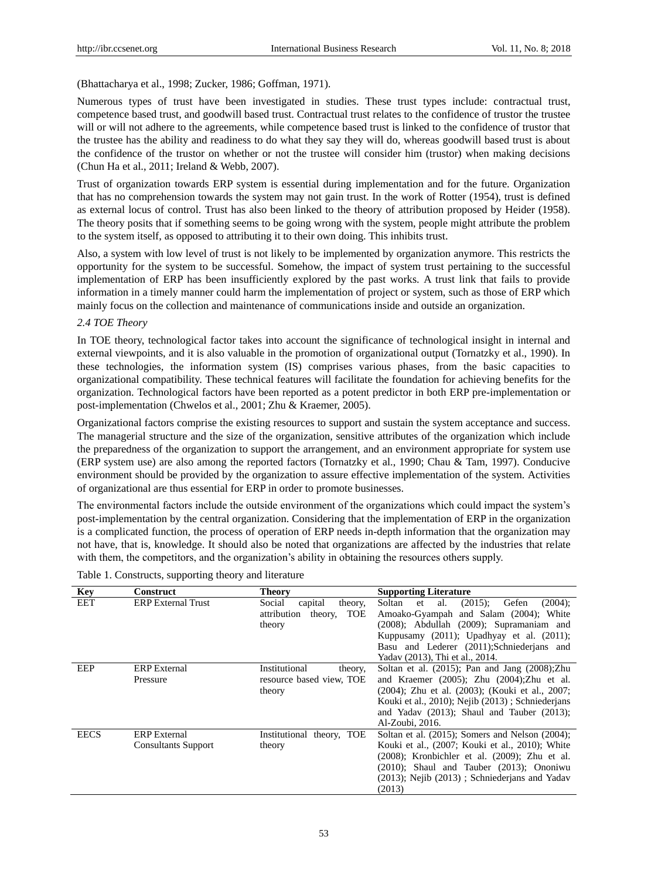(Bhattacharya et al., 1998; Zucker, 1986; Goffman, 1971).

Numerous types of trust have been investigated in studies. These trust types include: contractual trust, competence based trust, and goodwill based trust. Contractual trust relates to the confidence of trustor the trustee will or will not adhere to the agreements, while competence based trust is linked to the confidence of trustor that the trustee has the ability and readiness to do what they say they will do, whereas goodwill based trust is about the confidence of the trustor on whether or not the trustee will consider him (trustor) when making decisions (Chun Ha et al., 2011; Ireland & Webb, 2007).

Trust of organization towards ERP system is essential during implementation and for the future. Organization that has no comprehension towards the system may not gain trust. In the work of Rotter (1954), trust is defined as external locus of control. Trust has also been linked to the theory of attribution proposed by Heider (1958). The theory posits that if something seems to be going wrong with the system, people might attribute the problem to the system itself, as opposed to attributing it to their own doing. This inhibits trust.

Also, a system with low level of trust is not likely to be implemented by organization anymore. This restricts the opportunity for the system to be successful. Somehow, the impact of system trust pertaining to the successful implementation of ERP has been insufficiently explored by the past works. A trust link that fails to provide information in a timely manner could harm the implementation of project or system, such as those of ERP which mainly focus on the collection and maintenance of communications inside and outside an organization.

# *2.4 TOE Theory*

In TOE theory, technological factor takes into account the significance of technological insight in internal and external viewpoints, and it is also valuable in the promotion of organizational output (Tornatzky et al., 1990). In these technologies, the information system (IS) comprises various phases, from the basic capacities to organizational compatibility. These technical features will facilitate the foundation for achieving benefits for the organization. Technological factors have been reported as a potent predictor in both ERP pre-implementation or post-implementation (Chwelos et al., 2001; Zhu & Kraemer, 2005).

Organizational factors comprise the existing resources to support and sustain the system acceptance and success. The managerial structure and the size of the organization, sensitive attributes of the organization which include the preparedness of the organization to support the arrangement, and an environment appropriate for system use (ERP system use) are also among the reported factors (Tornatzky et al., 1990; Chau & Tam, 1997). Conducive environment should be provided by the organization to assure effective implementation of the system. Activities of organizational are thus essential for ERP in order to promote businesses.

The environmental factors include the outside environment of the organizations which could impact the system's post-implementation by the central organization. Considering that the implementation of ERP in the organization is a complicated function, the process of operation of ERP needs in-depth information that the organization may not have, that is, knowledge. It should also be noted that organizations are affected by the industries that relate with them, the competitors, and the organization's ability in obtaining the resources others supply.

| <b>Key</b>  | <b>Construct</b>                                  | <b>Theory</b>                                                           | <b>Supporting Literature</b>                                                                                                                                                                                                                                                             |
|-------------|---------------------------------------------------|-------------------------------------------------------------------------|------------------------------------------------------------------------------------------------------------------------------------------------------------------------------------------------------------------------------------------------------------------------------------------|
| EET         | <b>ERP</b> External Trust                         | Social<br>capital<br>theory,<br>TOE<br>attribution<br>theory,<br>theory | Soltan<br>$(2004)$ ;<br>$(2015)$ ;<br>Gefen<br>al.<br>et<br>Amoako-Gyampah and Salam (2004); White<br>(2008); Abdullah (2009); Supramaniam and<br>Kuppusamy $(2011)$ ; Upadhyay et al. $(2011)$ ;<br>Basu and Lederer (2011); Schniederians and<br>Yadav (2013), Thi et al., 2014.       |
| EEP         | <b>ERP</b> External<br>Pressure                   | Institutional<br>theory,<br>resource based view, TOE<br>theory          | Soltan et al. $(2015)$ ; Pan and Jang $(2008)$ ; Zhu<br>and Kraemer $(2005)$ ; Zhu $(2004)$ ; Zhu et al.<br>(2004); Zhu et al. (2003); (Kouki et al., 2007;<br>Kouki et al., 2010); Nejib (2013); Schniederjans<br>and Yadav $(2013)$ ; Shaul and Tauber $(2013)$ ;<br>$Al-Zoubi. 2016.$ |
| <b>EECS</b> | <b>ERP</b> External<br><b>Consultants Support</b> | Institutional theory, TOE<br>theory                                     | Soltan et al. (2015); Somers and Nelson (2004);<br>Kouki et al., (2007; Kouki et al., 2010); White<br>(2008); Kronbichler et al. (2009); Zhu et al.<br>(2010); Shaul and Tauber (2013); Ononiwu<br>(2013); Nejib (2013); Schniederjans and Yadav<br>(2013)                               |

Table 1. Constructs, supporting theory and literature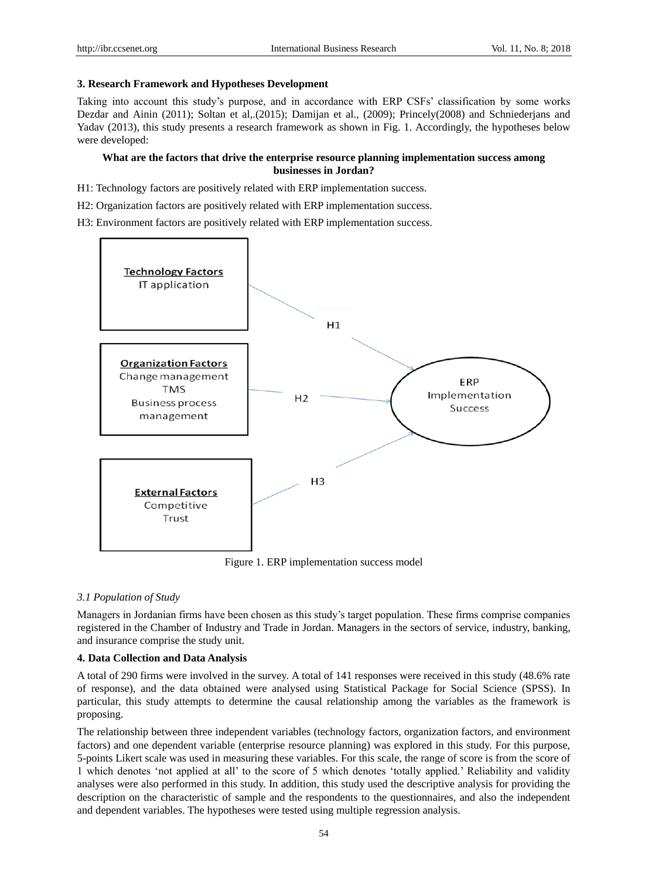## **3. Research Framework and Hypotheses Development**

Taking into account this study's purpose, and in accordance with ERP CSFs' classification by some works Dezdar and Ainin (2011); Soltan et al,.(2015); Damijan et al., (2009); Princely(2008) and Schniederjans and Yadav (2013), this study presents a research framework as shown in Fig. 1. Accordingly, the hypotheses below were developed:

# **What are the factors that drive the enterprise resource planning implementation success among businesses in Jordan?**

- H1: Technology factors are positively related with ERP implementation success.
- H2: Organization factors are positively related with ERP implementation success.
- H3: Environment factors are positively related with ERP implementation success.



Figure 1. ERP implementation success model

# *3.1 Population of Study*

Managers in Jordanian firms have been chosen as this study's target population. These firms comprise companies registered in the Chamber of Industry and Trade in Jordan. Managers in the sectors of service, industry, banking, and insurance comprise the study unit.

# **4. Data Collection and Data Analysis**

A total of 290 firms were involved in the survey. A total of 141 responses were received in this study (48.6% rate of response), and the data obtained were analysed using Statistical Package for Social Science (SPSS). In particular, this study attempts to determine the causal relationship among the variables as the framework is proposing.

The relationship between three independent variables (technology factors, organization factors, and environment factors) and one dependent variable (enterprise resource planning) was explored in this study. For this purpose, 5-points Likert scale was used in measuring these variables. For this scale, the range of score is from the score of 1 which denotes 'not applied at all' to the score of 5 which denotes 'totally applied.' Reliability and validity analyses were also performed in this study. In addition, this study used the descriptive analysis for providing the description on the characteristic of sample and the respondents to the questionnaires, and also the independent and dependent variables. The hypotheses were tested using multiple regression analysis.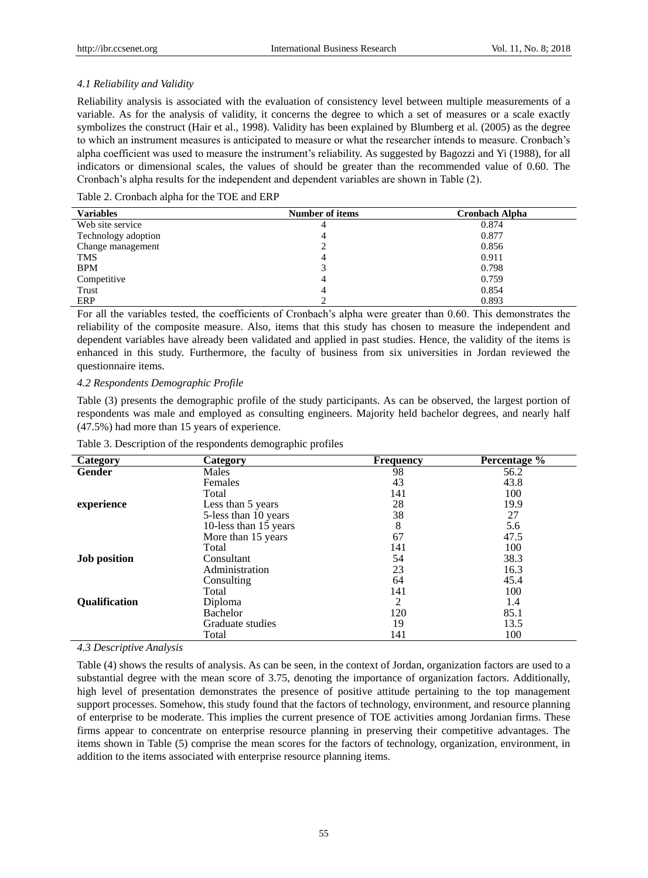## *4.1 Reliability and Validity*

Reliability analysis is associated with the evaluation of consistency level between multiple measurements of a variable. As for the analysis of validity, it concerns the degree to which a set of measures or a scale exactly symbolizes the construct (Hair et al., 1998). Validity has been explained by Blumberg et al. (2005) as the degree to which an instrument measures is anticipated to measure or what the researcher intends to measure. Cronbach's alpha coefficient was used to measure the instrument's reliability. As suggested by Bagozzi and Yi (1988), for all indicators or dimensional scales, the values of should be greater than the recommended value of 0.60. The Cronbach's alpha results for the independent and dependent variables are shown in Table (2).

Table 2. Cronbach alpha for the TOE and ERP

| <b>Variables</b>    | Number of items | <b>Cronbach Alpha</b> |
|---------------------|-----------------|-----------------------|
| Web site service    |                 | 0.874                 |
| Technology adoption |                 | 0.877                 |
| Change management   |                 | 0.856                 |
| <b>TMS</b>          |                 | 0.911                 |
| <b>BPM</b>          |                 | 0.798                 |
| Competitive         |                 | 0.759                 |
| Trust               |                 | 0.854                 |
| ERP                 |                 | 0.893                 |

For all the variables tested, the coefficients of Cronbach's alpha were greater than 0.60. This demonstrates the reliability of the composite measure. Also, items that this study has chosen to measure the independent and dependent variables have already been validated and applied in past studies. Hence, the validity of the items is enhanced in this study. Furthermore, the faculty of business from six universities in Jordan reviewed the questionnaire items.

## *4.2 Respondents Demographic Profile*

Table (3) presents the demographic profile of the study participants. As can be observed, the largest portion of respondents was male and employed as consulting engineers. Majority held bachelor degrees, and nearly half (47.5%) had more than 15 years of experience.

| Category             | Category              | <b>Frequency</b> | Percentage % |
|----------------------|-----------------------|------------------|--------------|
| <b>Gender</b>        | Males                 | 98               | 56.2         |
|                      | Females               | 43               | 43.8         |
|                      | Total                 | 141              | 100          |
| experience           | Less than 5 years     | 28               | 19.9         |
|                      | 5-less than 10 years  | 38               | 27           |
|                      | 10-less than 15 years | 8                | 5.6          |
|                      | More than 15 years    | 67               | 47.5         |
|                      | Total                 | 141              | 100          |
| <b>Job position</b>  | Consultant            | 54               | 38.3         |
|                      | Administration        | 23               | 16.3         |
|                      | Consulting            | 64               | 45.4         |
|                      | Total                 | 141              | 100          |
| <b>Qualification</b> | Diploma               | $\overline{2}$   | 1.4          |
|                      | <b>Bachelor</b>       | 120              | 85.1         |
|                      | Graduate studies      | 19               | 13.5         |
|                      | Total                 | 141              | 100          |

Table 3. Description of the respondents demographic profiles

*4.3 Descriptive Analysis*

Table (4) shows the results of analysis. As can be seen, in the context of Jordan, organization factors are used to a substantial degree with the mean score of 3.75, denoting the importance of organization factors. Additionally, high level of presentation demonstrates the presence of positive attitude pertaining to the top management support processes. Somehow, this study found that the factors of technology, environment, and resource planning of enterprise to be moderate. This implies the current presence of TOE activities among Jordanian firms. These firms appear to concentrate on enterprise resource planning in preserving their competitive advantages. The items shown in Table (5) comprise the mean scores for the factors of technology, organization, environment, in addition to the items associated with enterprise resource planning items.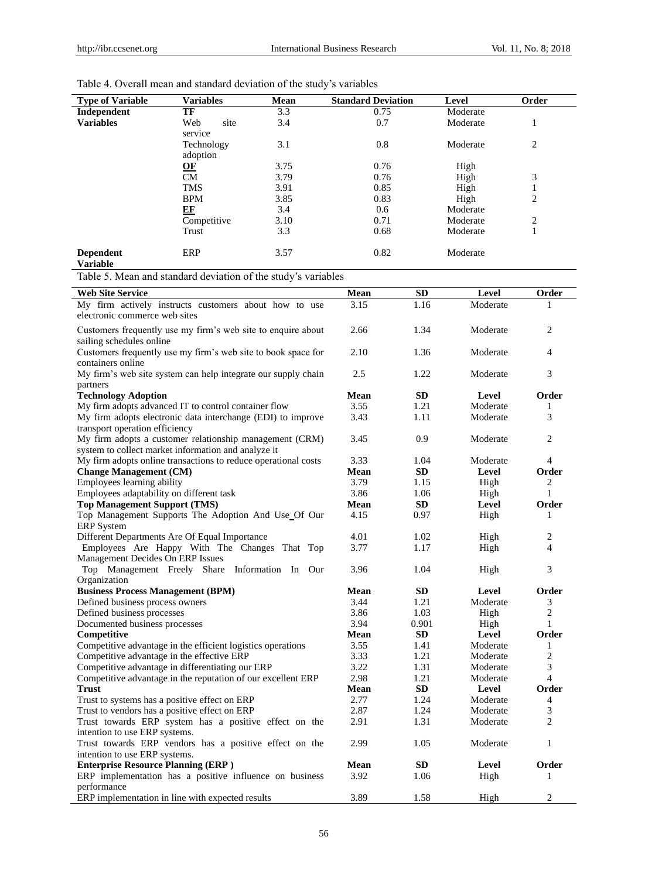| Table 4. Overall mean and standard deviation of the study's variables |  |  |
|-----------------------------------------------------------------------|--|--|
|-----------------------------------------------------------------------|--|--|

| <b>Type of Variable</b>             | <b>Variables</b>       | Mean | <b>Standard Deviation</b> | Level    | Order        |
|-------------------------------------|------------------------|------|---------------------------|----------|--------------|
| Independent                         | TF                     | 3.3  | 0.75                      | Moderate |              |
| <b>Variables</b>                    | Web<br>site<br>service | 3.4  | 0.7                       | Moderate | 1            |
|                                     | Technology<br>adoption | 3.1  | 0.8                       | Moderate | 2            |
|                                     | $\Omega$ F             | 3.75 | 0.76                      | High     |              |
|                                     | CM                     | 3.79 | 0.76                      | High     | 3            |
|                                     | <b>TMS</b>             | 3.91 | 0.85                      | High     |              |
|                                     | <b>BPM</b>             | 3.85 | 0.83                      | High     | 2            |
|                                     | $E$ $F$                | 3.4  | 0.6                       | Moderate |              |
|                                     | Competitive            | 3.10 | 0.71                      | Moderate | 2            |
|                                     | Trust                  | 3.3  | 0.68                      | Moderate | $\mathbf{I}$ |
| <b>Dependent</b><br><b>Variable</b> | ERP                    | 3.57 | 0.82                      | Moderate |              |

Table 5. Mean and standard deviation of the study's variables

| <b>Web Site Service</b>                                                                  | Mean         | SD           | Level                | Order                   |
|------------------------------------------------------------------------------------------|--------------|--------------|----------------------|-------------------------|
| My firm actively instructs customers about how to use                                    | 3.15         | 1.16         | Moderate             |                         |
| electronic commerce web sites                                                            |              |              |                      |                         |
|                                                                                          | 2.66         | 1.34         | Moderate             | 2                       |
| Customers frequently use my firm's web site to enquire about<br>sailing schedules online |              |              |                      |                         |
| Customers frequently use my firm's web site to book space for                            | 2.10         | 1.36         | Moderate             | $\overline{4}$          |
| containers online                                                                        |              |              |                      |                         |
| My firm's web site system can help integrate our supply chain                            | 2.5          | 1.22         | Moderate             | 3                       |
| partners                                                                                 |              |              |                      |                         |
| <b>Technology Adoption</b>                                                               | Mean         | <b>SD</b>    | Level                | Order                   |
| My firm adopts advanced IT to control container flow                                     | 3.55         | 1.21         | Moderate             | 1                       |
|                                                                                          | 3.43         | 1.11         | Moderate             | 3                       |
| My firm adopts electronic data interchange (EDI) to improve                              |              |              |                      |                         |
| transport operation efficiency                                                           | 3.45         | 0.9          | Moderate             | 2                       |
| My firm adopts a customer relationship management (CRM)                                  |              |              |                      |                         |
| system to collect market information and analyze it                                      | 3.33         | 1.04         | Moderate             | $\overline{4}$          |
| My firm adopts online transactions to reduce operational costs                           |              | <b>SD</b>    |                      | Order                   |
| <b>Change Management (CM)</b>                                                            | Mean<br>3.79 | 1.15         | Level                | 2                       |
| Employees learning ability                                                               |              |              | High                 | $\mathbf{1}$            |
| Employees adaptability on different task                                                 | 3.86         | 1.06         | High                 |                         |
| <b>Top Management Support (TMS)</b>                                                      | Mean         | <b>SD</b>    | Level                | Order                   |
| Top Management Supports The Adoption And Use_Of Our                                      | 4.15         | 0.97         | High                 | 1                       |
| <b>ERP</b> System                                                                        |              |              |                      |                         |
| Different Departments Are Of Equal Importance                                            | 4.01         | 1.02         | High                 | 2<br>$\overline{4}$     |
| Employees Are Happy With The Changes That Top                                            | 3.77         | 1.17         | High                 |                         |
| Management Decides On ERP Issues                                                         |              |              |                      |                         |
| Top Management Freely Share Information In Our<br>Organization                           | 3.96         | 1.04         | High                 | 3                       |
|                                                                                          | Mean         | <b>SD</b>    | Level                | Order                   |
| <b>Business Process Management (BPM)</b>                                                 | 3.44         | 1.21         | Moderate             | 3                       |
| Defined business process owners                                                          | 3.86         | 1.03         |                      | $\sqrt{2}$              |
| Defined business processes                                                               | 3.94         | 0.901        | High                 | $\mathbf{1}$            |
| Documented business processes                                                            | Mean         | <b>SD</b>    | High<br>Level        | Order                   |
| Competitive                                                                              |              |              |                      | 1                       |
| Competitive advantage in the efficient logistics operations                              | 3.55<br>3.33 | 1.41<br>1.21 | Moderate<br>Moderate | 2                       |
| Competitive advantage in the effective ERP                                               | 3.22         | 1.31         |                      |                         |
| Competitive advantage in differentiating our ERP                                         | 2.98         | 1.21         | Moderate<br>Moderate | 3<br>$\overline{4}$     |
| Competitive advantage in the reputation of our excellent ERP<br><b>Trust</b>             | Mean         | SD           |                      |                         |
|                                                                                          | 2.77         | 1.24         | Level<br>Moderate    | Order<br>$\overline{4}$ |
| Trust to systems has a positive effect on ERP                                            | 2.87         | 1.24         |                      | $\mathfrak{Z}$          |
| Trust to vendors has a positive effect on ERP                                            |              |              | Moderate             | 2                       |
| Trust towards ERP system has a positive effect on the                                    | 2.91         | 1.31         | Moderate             |                         |
| intention to use ERP systems.                                                            |              |              |                      | $\mathbf{1}$            |
| Trust towards ERP vendors has a positive effect on the                                   | 2.99         | 1.05         | Moderate             |                         |
| intention to use ERP systems.                                                            |              |              |                      |                         |
| <b>Enterprise Resource Planning (ERP)</b>                                                | Mean<br>3.92 | SD           | Level                | Order                   |
| ERP implementation has a positive influence on business                                  |              | 1.06         | High                 | 1                       |
| performance                                                                              |              |              |                      |                         |
| ERP implementation in line with expected results                                         | 3.89         | 1.58         | High                 | $\mathbf{2}$            |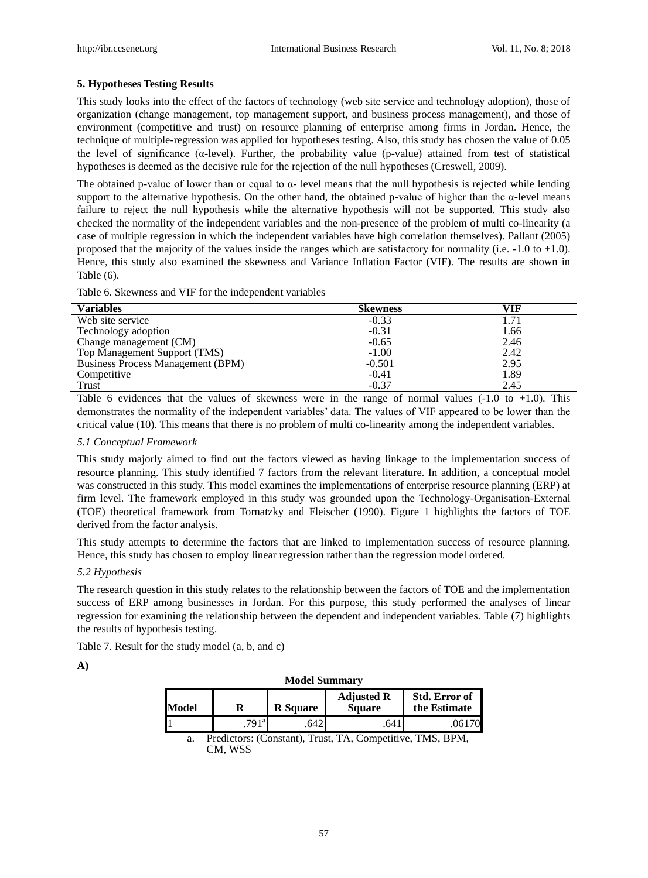## **5. Hypotheses Testing Results**

This study looks into the effect of the factors of technology (web site service and technology adoption), those of organization (change management, top management support, and business process management), and those of environment (competitive and trust) on resource planning of enterprise among firms in Jordan. Hence, the technique of multiple-regression was applied for hypotheses testing. Also, this study has chosen the value of 0.05 the level of significance ( $\alpha$ -level). Further, the probability value (p-value) attained from test of statistical hypotheses is deemed as the decisive rule for the rejection of the null hypotheses (Creswell, 2009).

The obtained p-value of lower than or equal to  $\alpha$ - level means that the null hypothesis is rejected while lending support to the alternative hypothesis. On the other hand, the obtained p-value of higher than the  $\alpha$ -level means failure to reject the null hypothesis while the alternative hypothesis will not be supported. This study also checked the normality of the independent variables and the non-presence of the problem of multi co-linearity (a case of multiple regression in which the independent variables have high correlation themselves). Pallant (2005) proposed that the majority of the values inside the ranges which are satisfactory for normality (i.e.  $-1.0$  to  $+1.0$ ). Hence, this study also examined the skewness and Variance Inflation Factor (VIF). The results are shown in Table (6).

Table 6. Skewness and VIF for the independent variables

| <b>Variables</b>                  | <b>Skewness</b> | VIF  |
|-----------------------------------|-----------------|------|
| Web site service                  | $-0.33$         |      |
| Technology adoption               | $-0.31$         | 1.66 |
| Change management (CM)            | $-0.65$         | 2.46 |
| Top Management Support (TMS)      | $-1.00$         | 2.42 |
| Business Process Management (BPM) | $-0.501$        | 2.95 |
| Competitive                       | $-0.41$         | 1.89 |
| Trust                             | $-0.37$         | 2.45 |

Table 6 evidences that the values of skewness were in the range of normal values  $(-1.0 \text{ to } +1.0)$ . This demonstrates the normality of the independent variables' data. The values of VIF appeared to be lower than the critical value (10). This means that there is no problem of multi co-linearity among the independent variables.

# *5.1 Conceptual Framework*

This study majorly aimed to find out the factors viewed as having linkage to the implementation success of resource planning. This study identified 7 factors from the relevant literature. In addition, a conceptual model was constructed in this study. This model examines the implementations of enterprise resource planning (ERP) at firm level. The framework employed in this study was grounded upon the Technology-Organisation-External (TOE) theoretical framework from Tornatzky and Fleischer (1990). Figure 1 highlights the factors of TOE derived from the factor analysis.

This study attempts to determine the factors that are linked to implementation success of resource planning. Hence, this study has chosen to employ linear regression rather than the regression model ordered.

## *5.2 Hypothesis*

The research question in this study relates to the relationship between the factors of TOE and the implementation success of ERP among businesses in Jordan. For this purpose, this study performed the analyses of linear regression for examining the relationship between the dependent and independent variables. Table (7) highlights the results of hypothesis testing.

Table 7. Result for the study model (a, b, and c)

# **A)**

| <b>Model Summary</b>                                                                            |                     |       |      |        |  |  |  |
|-------------------------------------------------------------------------------------------------|---------------------|-------|------|--------|--|--|--|
| Std. Error of<br><b>Adjusted R</b><br><b>Square</b><br>the Estimate<br>Model<br><b>R</b> Square |                     |       |      |        |  |  |  |
|                                                                                                 | $.791$ <sup>a</sup> | .6421 | .641 | .06170 |  |  |  |
| Predictors: (Constant), Trust, TA, Competitive, TMS, BPM,<br>a.<br>CM. WSS                      |                     |       |      |        |  |  |  |

<sup>57</sup>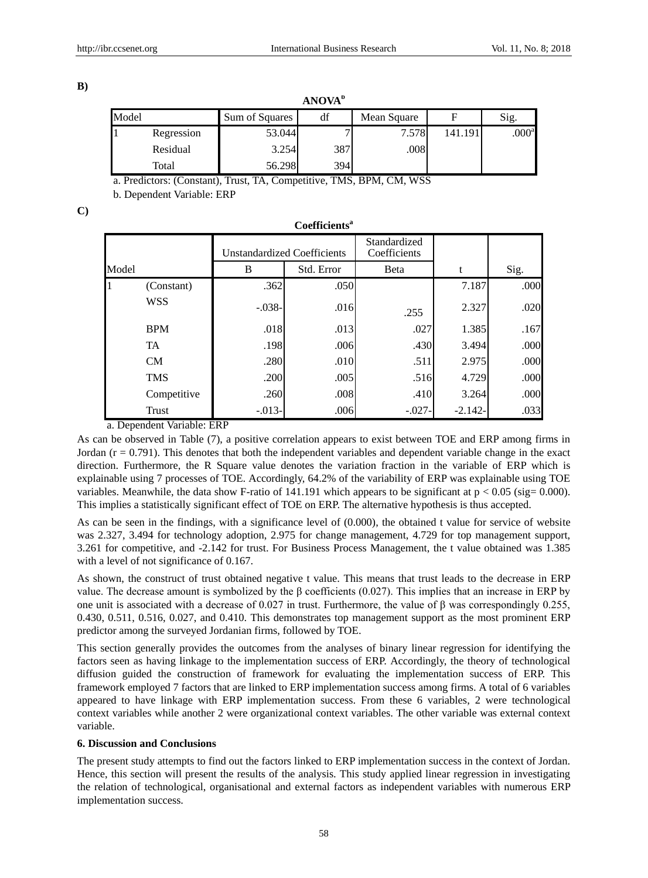**B)**

**ANOVA<sup>b</sup>** Model Sum of Squares df Mean Square F Sig. 1 Regression 53.044 7 7.578 141.191 .000<sup>a</sup> Residual 3.254 387 3008 Total 56.298 394

**Coefficients<sup>a</sup>**

a. Predictors: (Constant), Trust, TA, Competitive, TMS, BPM, CM, WSS

b. Dependent Variable: ERP

**C)**

|       | Coemcients  |                                    |            |                              |           |      |  |  |  |
|-------|-------------|------------------------------------|------------|------------------------------|-----------|------|--|--|--|
|       |             | <b>Unstandardized Coefficients</b> |            | Standardized<br>Coefficients |           |      |  |  |  |
| Model |             | B                                  | Std. Error | <b>B</b> eta                 | t         | Sig. |  |  |  |
|       | (Constant)  | .362                               | .050       |                              | 7.187     | .000 |  |  |  |
|       | <b>WSS</b>  | $-.038-$                           | .016       | .255                         | 2.327     | .020 |  |  |  |
|       | <b>BPM</b>  | .018                               | .013       | .027                         | 1.385     | .167 |  |  |  |
|       | <b>TA</b>   | .198                               | .006       | .430                         | 3.494     | .000 |  |  |  |
|       | <b>CM</b>   | .280                               | .010       | .511                         | 2.975     | .000 |  |  |  |
|       | <b>TMS</b>  | .200                               | .005       | .516                         | 4.729     | .000 |  |  |  |
|       | Competitive | .260                               | .008       | .410                         | 3.264     | .000 |  |  |  |
|       | Trust       | $-0.013-$                          | .006       | $-.027-$                     | $-2.142-$ | .033 |  |  |  |

a. Dependent Variable: ERP

As can be observed in Table (7), a positive correlation appears to exist between TOE and ERP among firms in Jordan  $(r = 0.791)$ . This denotes that both the independent variables and dependent variable change in the exact direction. Furthermore, the R Square value denotes the variation fraction in the variable of ERP which is explainable using 7 processes of TOE. Accordingly, 64.2% of the variability of ERP was explainable using TOE variables. Meanwhile, the data show F-ratio of 141.191 which appears to be significant at  $p < 0.05$  (sig= 0.000). This implies a statistically significant effect of TOE on ERP. The alternative hypothesis is thus accepted.

As can be seen in the findings, with a significance level of (0.000), the obtained t value for service of website was 2.327, 3.494 for technology adoption, 2.975 for change management, 4.729 for top management support, 3.261 for competitive, and -2.142 for trust. For Business Process Management, the t value obtained was 1.385 with a level of not significance of 0.167.

As shown, the construct of trust obtained negative t value. This means that trust leads to the decrease in ERP value. The decrease amount is symbolized by the β coefficients (0.027). This implies that an increase in ERP by one unit is associated with a decrease of 0.027 in trust. Furthermore, the value of β was correspondingly 0.255, 0.430, 0.511, 0.516, 0.027, and 0.410. This demonstrates top management support as the most prominent ERP predictor among the surveyed Jordanian firms, followed by TOE.

This section generally provides the outcomes from the analyses of binary linear regression for identifying the factors seen as having linkage to the implementation success of ERP. Accordingly, the theory of technological diffusion guided the construction of framework for evaluating the implementation success of ERP. This framework employed 7 factors that are linked to ERP implementation success among firms. A total of 6 variables appeared to have linkage with ERP implementation success. From these 6 variables, 2 were technological context variables while another 2 were organizational context variables. The other variable was external context variable.

## **6. Discussion and Conclusions**

The present study attempts to find out the factors linked to ERP implementation success in the context of Jordan. Hence, this section will present the results of the analysis. This study applied linear regression in investigating the relation of technological, organisational and external factors as independent variables with numerous ERP implementation success.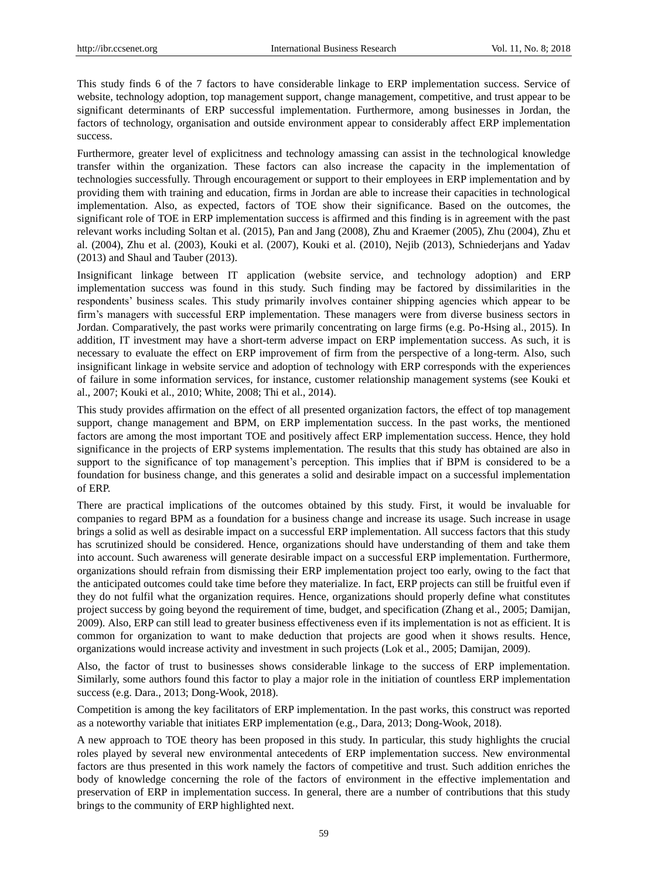This study finds 6 of the 7 factors to have considerable linkage to ERP implementation success. Service of website, technology adoption, top management support, change management, competitive, and trust appear to be significant determinants of ERP successful implementation. Furthermore, among businesses in Jordan, the factors of technology, organisation and outside environment appear to considerably affect ERP implementation success.

Furthermore, greater level of explicitness and technology amassing can assist in the technological knowledge transfer within the organization. These factors can also increase the capacity in the implementation of technologies successfully. Through encouragement or support to their employees in ERP implementation and by providing them with training and education, firms in Jordan are able to increase their capacities in technological implementation. Also, as expected, factors of TOE show their significance. Based on the outcomes, the significant role of TOE in ERP implementation success is affirmed and this finding is in agreement with the past relevant works including Soltan et al. (2015), Pan and Jang (2008), Zhu and Kraemer (2005), Zhu (2004), Zhu et al. (2004), Zhu et al. (2003), Kouki et al. (2007), Kouki et al. (2010), Nejib (2013), Schniederjans and Yadav (2013) and Shaul and Tauber (2013).

Insignificant linkage between IT application (website service, and technology adoption) and ERP implementation success was found in this study. Such finding may be factored by dissimilarities in the respondents' business scales. This study primarily involves container shipping agencies which appear to be firm's managers with successful ERP implementation. These managers were from diverse business sectors in Jordan. Comparatively, the past works were primarily concentrating on large firms (e.g. Po-Hsing al., 2015). In addition, IT investment may have a short-term adverse impact on ERP implementation success. As such, it is necessary to evaluate the effect on ERP improvement of firm from the perspective of a long-term. Also, such insignificant linkage in website service and adoption of technology with ERP corresponds with the experiences of failure in some information services, for instance, customer relationship management systems (see Kouki et al., 2007; Kouki et al., 2010; White, 2008; Thi et al., 2014).

This study provides affirmation on the effect of all presented organization factors, the effect of top management support, change management and BPM, on ERP implementation success. In the past works, the mentioned factors are among the most important TOE and positively affect ERP implementation success. Hence, they hold significance in the projects of ERP systems implementation. The results that this study has obtained are also in support to the significance of top management's perception. This implies that if BPM is considered to be a foundation for business change, and this generates a solid and desirable impact on a successful implementation of ERP.

There are practical implications of the outcomes obtained by this study. First, it would be invaluable for companies to regard BPM as a foundation for a business change and increase its usage. Such increase in usage brings a solid as well as desirable impact on a successful ERP implementation. All success factors that this study has scrutinized should be considered. Hence, organizations should have understanding of them and take them into account. Such awareness will generate desirable impact on a successful ERP implementation. Furthermore, organizations should refrain from dismissing their ERP implementation project too early, owing to the fact that the anticipated outcomes could take time before they materialize. In fact, ERP projects can still be fruitful even if they do not fulfil what the organization requires. Hence, organizations should properly define what constitutes project success by going beyond the requirement of time, budget, and specification (Zhang et al., 2005; Damijan, 2009). Also, ERP can still lead to greater business effectiveness even if its implementation is not as efficient. It is common for organization to want to make deduction that projects are good when it shows results. Hence, organizations would increase activity and investment in such projects (Lok et al., 2005; Damijan, 2009).

Also, the factor of trust to businesses shows considerable linkage to the success of ERP implementation. Similarly, some authors found this factor to play a major role in the initiation of countless ERP implementation success (e.g. Dara., 2013; Dong-Wook, 2018).

Competition is among the key facilitators of ERP implementation. In the past works, this construct was reported as a noteworthy variable that initiates ERP implementation (e.g., Dara, 2013; Dong-Wook, 2018).

A new approach to TOE theory has been proposed in this study. In particular, this study highlights the crucial roles played by several new environmental antecedents of ERP implementation success. New environmental factors are thus presented in this work namely the factors of competitive and trust. Such addition enriches the body of knowledge concerning the role of the factors of environment in the effective implementation and preservation of ERP in implementation success. In general, there are a number of contributions that this study brings to the community of ERP highlighted next.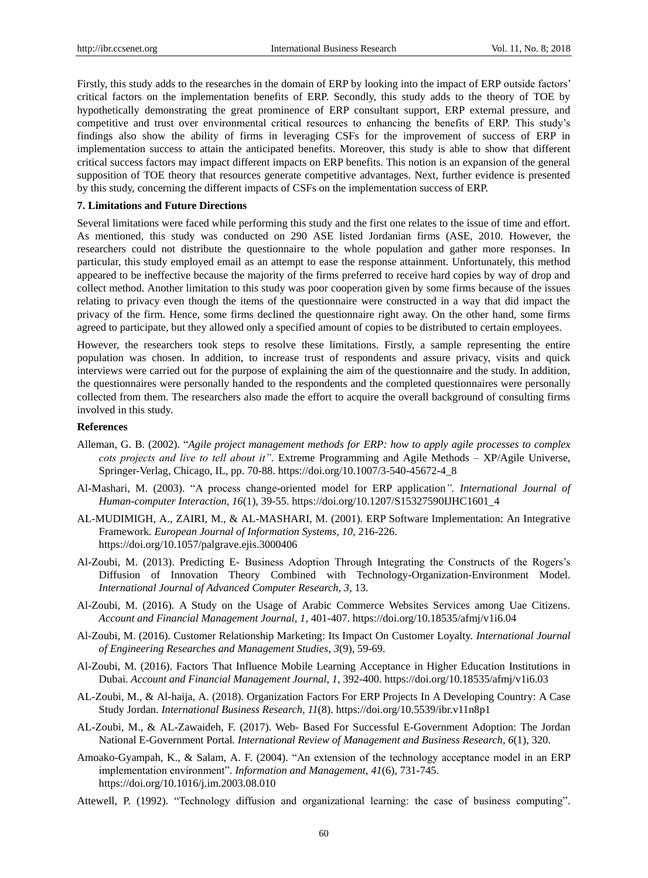Firstly, this study adds to the researches in the domain of ERP by looking into the impact of ERP outside factors' critical factors on the implementation benefits of ERP. Secondly, this study adds to the theory of TOE by hypothetically demonstrating the great prominence of ERP consultant support, ERP external pressure, and competitive and trust over environmental critical resources to enhancing the benefits of ERP. This study's findings also show the ability of firms in leveraging CSFs for the improvement of success of ERP in implementation success to attain the anticipated benefits. Moreover, this study is able to show that different critical success factors may impact different impacts on ERP benefits. This notion is an expansion of the general supposition of TOE theory that resources generate competitive advantages. Next, further evidence is presented by this study, concerning the different impacts of CSFs on the implementation success of ERP.

## **7. Limitations and Future Directions**

Several limitations were faced while performing this study and the first one relates to the issue of time and effort. As mentioned, this study was conducted on 290 ASE listed Jordanian firms (ASE, 2010. However, the researchers could not distribute the questionnaire to the whole population and gather more responses. In particular, this study employed email as an attempt to ease the response attainment. Unfortunately, this method appeared to be ineffective because the majority of the firms preferred to receive hard copies by way of drop and collect method. Another limitation to this study was poor cooperation given by some firms because of the issues relating to privacy even though the items of the questionnaire were constructed in a way that did impact the privacy of the firm. Hence, some firms declined the questionnaire right away. On the other hand, some firms agreed to participate, but they allowed only a specified amount of copies to be distributed to certain employees.

However, the researchers took steps to resolve these limitations. Firstly, a sample representing the entire population was chosen. In addition, to increase trust of respondents and assure privacy, visits and quick interviews were carried out for the purpose of explaining the aim of the questionnaire and the study. In addition, the questionnaires were personally handed to the respondents and the completed questionnaires were personally collected from them. The researchers also made the effort to acquire the overall background of consulting firms involved in this study.

## **References**

- Alleman, G. B. (2002). "*Agile project management methods for ERP: how to apply agile processes to complex cots projects and live to tell about it".* Extreme Programming and Agile Methods – XP/Agile Universe, Springer-Verlag, Chicago, IL, pp. 70-88. https://doi.org/10.1007/3-540-45672-4\_8
- Al-Mashari, M. (2003). "A process change-oriented model for ERP application*". International Journal of Human-computer Interaction, 16*(1), 39-55. https://doi.org/10.1207/S15327590IJHC1601\_4
- AL-MUDIMIGH, A., ZAIRI, M., & AL-MASHARI, M. (2001). ERP Software Implementation: An Integrative Framework*. European Journal of Information Systems, 10*, 216-226. https://doi.org/10.1057/palgrave.ejis.3000406
- Al-Zoubi, M. (2013). Predicting E- Business Adoption Through Integrating the Constructs of the Rogers's Diffusion of Innovation Theory Combined with Technology-Organization-Environment Model. *International Journal of Advanced Computer Research, 3*, 13.
- Al-Zoubi, M. (2016). A Study on the Usage of Arabic Commerce Websites Services among Uae Citizens. *Account and Financial Management Journal, 1,* 401-407. https://doi.org/10.18535/afmj/v1i6.04
- Al-Zoubi, M. (2016). Customer Relationship Marketing: Its Impact On Customer Loyalty. *International Journal of Engineering Researches and Management Studies, 3*(9), 59-69.
- Al-Zoubi, M. (2016). Factors That Influence Mobile Learning Acceptance in Higher Education Institutions in Dubai. *Account and Financial Management Journal, 1*, 392-400. https://doi.org/10.18535/afmj/v1i6.03
- AL-Zoubi, M., & Al-haija, A. (2018). Organization Factors For ERP Projects In A Developing Country: A Case Study Jordan. *International Business Research, 11*(8). https://doi.org/10.5539/ibr.v11n8p1
- AL-Zoubi, M., & AL-Zawaideh, F. (2017). Web- Based For Successful E-Government Adoption: The Jordan National E-Government Portal*. International Review of Management and Business Research, 6*(1), 320.
- Amoako-Gyampah, K., & Salam, A. F. (2004). "An extension of the technology acceptance model in an ERP implementation environment". *Information and Management, 41*(6), 731-745. https://doi.org/10.1016/j.im.2003.08.010
- Attewell, P. (1992). "Technology diffusion and organizational learning: the case of business computing".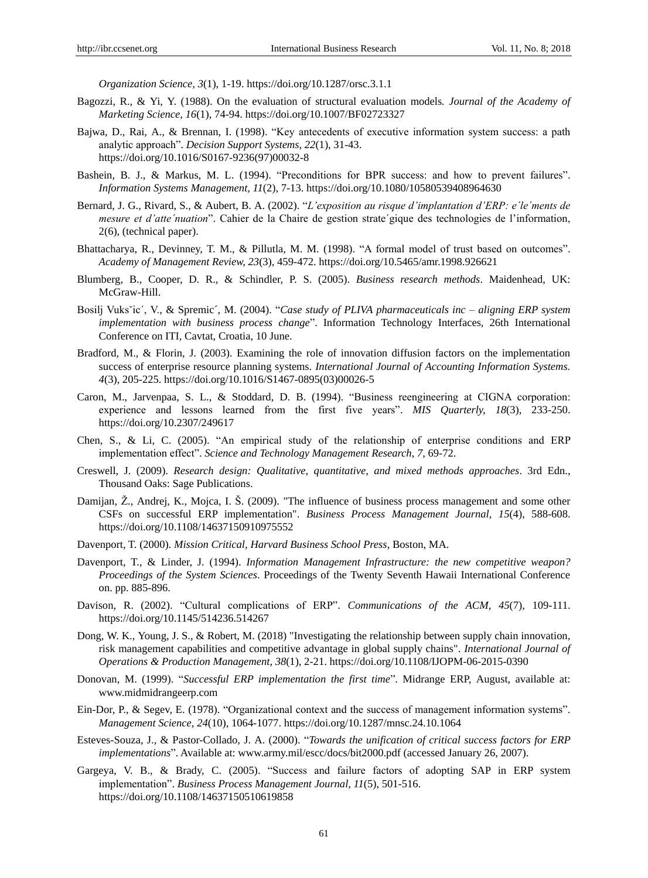*Organization Science, 3*(1), 1-19. https://doi.org/10.1287/orsc.3.1.1

- Bagozzi, R., & Yi, Y. (1988). On the evaluation of structural evaluation models*. Journal of the Academy of Marketing Science, 16*(1), 74-94. https://doi.org/10.1007/BF02723327
- Bajwa, D., Rai, A., & Brennan, I. (1998). "Key antecedents of executive information system success: a path analytic approach". *Decision Support Systems, 22*(1), 31-43. https://doi.org/10.1016/S0167-9236(97)00032-8
- Bashein, B. J., & Markus, M. L. (1994). "Preconditions for BPR success: and how to prevent failures". *Information Systems Management, 11*(2), 7-13. https://doi.org/10.1080/10580539408964630
- Bernard, J. G., Rivard, S., & Aubert, B. A. (2002). "*L'exposition au risque d'implantation d'ERP: e´le´ments de mesure et d'atte´nuation*". Cahier de la Chaire de gestion strate´gique des technologies de l'information, 2(6), (technical paper).
- Bhattacharya, R., Devinney, T. M., & Pillutla, M. M. (1998). "A formal model of trust based on outcomes". *Academy of Management Review, 23*(3), 459-472. https://doi.org/10.5465/amr.1998.926621
- Blumberg, B., Cooper, D. R., & Schindler, P. S. (2005). *Business research methods*. Maidenhead, UK: McGraw-Hill.
- Bosilj Vuksˇic´, V., & Spremic´, M. (2004). "*Case study of PLIVA pharmaceuticals inc – aligning ERP system implementation with business process change*". Information Technology Interfaces, 26th International Conference on ITI, Cavtat, Croatia, 10 June.
- Bradford, M., & Florin, J. (2003). Examining the role of innovation diffusion factors on the implementation success of enterprise resource planning systems. *International Journal of Accounting Information Systems. 4*(3), 205-225. https://doi.org/10.1016/S1467-0895(03)00026-5
- Caron, M., Jarvenpaa, S. L., & Stoddard, D. B. (1994). "Business reengineering at CIGNA corporation: experience and lessons learned from the first five years". *MIS Quarterly, 18*(3), 233-250. https://doi.org/10.2307/249617
- Chen, S., & Li, C. (2005). "An empirical study of the relationship of enterprise conditions and ERP implementation effect". *Science and Technology Management Research*, *7*, 69-72.
- Creswell, J. (2009). *Research design: Qualitative, quantitative, and mixed methods approaches*. 3rd Edn., Thousand Oaks: Sage Publications.
- Damijan, Ž., Andrej, K., Mojca, I. Š. (2009). "The influence of business process management and some other CSFs on successful ERP implementation". *Business Process Management Journal, 15*(4), 588-608. https://doi.org/10.1108/14637150910975552
- Davenport, T. (2000). *Mission Critical, Harvard Business School Press*, Boston, MA.
- Davenport, T., & Linder, J. (1994). *Information Management Infrastructure: the new competitive weapon? Proceedings of the System Sciences*. Proceedings of the Twenty Seventh Hawaii International Conference on. pp. 885-896.
- Davison, R. (2002). "Cultural complications of ERP". *Communications of the ACM*, *45*(7), 109-111. https://doi.org/10.1145/514236.514267
- Dong, W. K., Young, J. S., & Robert, M. (2018) "Investigating the relationship between supply chain innovation, risk management capabilities and competitive advantage in global supply chains". *International Journal of Operations & Production Management, 38*(1), 2-21. https://doi.org/10.1108/IJOPM-06-2015-0390
- Donovan, M. (1999). "*Successful ERP implementation the first time*". Midrange ERP, August, available at: [www.midmidrangeerp.com](http://www.midmidrangeerp.com/)
- Ein-Dor, P., & Segev, E. (1978). "Organizational context and the success of management information systems". *Management Science, 24*(10), 1064-1077. https://doi.org/10.1287/mnsc.24.10.1064
- Esteves-Souza, J., & Pastor-Collado, J. A. (2000). "*Towards the unification of critical success factors for ERP implementations*". Available at: [www.army.mil/escc/docs/bit2000.pdf](http://www.army.mil/escc/docs/bit2000.pdf) (accessed January 26, 2007).
- Gargeya, V. B., & Brady, C. (2005). "Success and failure factors of adopting SAP in ERP system implementation". *Business Process Management Journal, 11*(5), 501-516. https://doi.org/10.1108/14637150510619858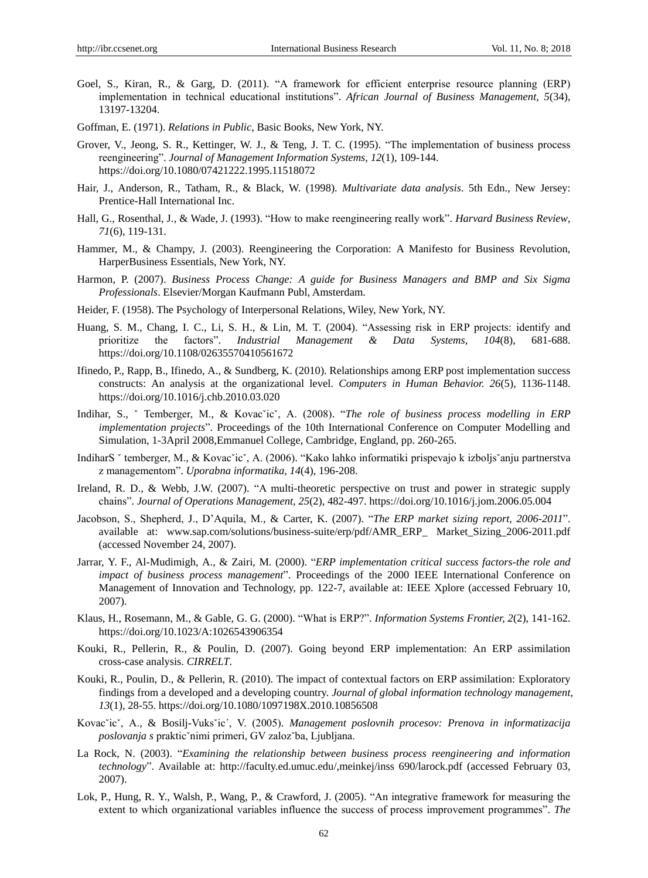- Goel, S., Kiran, R., & Garg, D. (2011). "A framework for efficient enterprise resource planning (ERP) implementation in technical educational institutions". *African Journal of Business Management, 5*(34), 13197-13204.
- Goffman, E. (1971). *Relations in Public*, Basic Books, New York, NY.
- Grover, V., Jeong, S. R., Kettinger, W. J., & Teng, J. T. C. (1995). "The implementation of business process reengineering". *Journal of Management Information Systems, 12*(1), 109-144. https://doi.org/10.1080/07421222.1995.11518072
- Hair, J., Anderson, R., Tatham, R., & Black, W. (1998). *Multivariate data analysis*. 5th Edn., New Jersey: Prentice-Hall International Inc.
- Hall, G., Rosenthal, J., & Wade, J. (1993). "How to make reengineering really work". *Harvard Business Review*, *71*(6), 119-131.
- Hammer, M., & Champy, J. (2003). Reengineering the Corporation: A Manifesto for Business Revolution, HarperBusiness Essentials, New York, NY.
- Harmon, P. (2007). *Business Process Change: A guide for Business Managers and BMP and Six Sigma Professionals*. Elsevier/Morgan Kaufmann Publ, Amsterdam.
- Heider, F. (1958). The Psychology of Interpersonal Relations, Wiley, New York, NY.
- Huang, S. M., Chang, I. C., Li, S. H., & Lin, M. T. (2004). "Assessing risk in ERP projects: identify and prioritize the factors". *Industrial Management & Data Systems, 104*(8), 681-688. https://doi.org/10.1108/02635570410561672
- Ifinedo, P., Rapp, B., Ifinedo, A., & Sundberg, K. (2010). Relationships among ERP post implementation success constructs: An analysis at the organizational level. *Computers in Human Behavior. 26*(5), 1136-1148. https://doi.org/10.1016/j.chb.2010.03.020
- Indihar, S., ˇ Temberger, M., & Kovacˇicˇ, A. (2008). "*The role of business process modelling in ERP implementation projects*". Proceedings of the 10th International Conference on Computer Modelling and Simulation, 1-3April 2008,Emmanuel College, Cambridge, England, pp. 260-265.
- IndiharS ˇ temberger, M., & Kovacˇicˇ, A. (2006). "Kako lahko informatiki prispevajo k izboljsˇanju partnerstva z managementom". *Uporabna informatika, 14*(4), 196-208.
- Ireland, R. D., & Webb, J.W. (2007). "A multi-theoretic perspective on trust and power in strategic supply chains". *Journal of Operations Management, 25*(2), 482-497. https://doi.org/10.1016/j.jom.2006.05.004
- Jacobson, S., Shepherd, J., D'Aquila, M., & Carter, K. (2007). "*The ERP market sizing report, 2006-2011*". available at: [www.sap.com/solutions/business-suite/erp/pdf/AMR\\_ERP\\_](http://www.sap.com/solutions/business-suite/erp/pdf/AMR_ERP_) Market\_Sizing\_2006-2011.pdf (accessed November 24, 2007).
- Jarrar, Y. F., Al-Mudimigh, A., & Zairi, M. (2000). "*ERP implementation critical success factors-the role and impact of business process management*". Proceedings of the 2000 IEEE International Conference on Management of Innovation and Technology, pp. 122-7, available at: IEEE Xplore (accessed February 10, 2007).
- Klaus, H., Rosemann, M., & Gable, G. G. (2000). "What is ERP?". *Information Systems Frontier, 2*(2), 141-162. https://doi.org/10.1023/A:1026543906354
- Kouki, R., Pellerin, R., & Poulin, D. (2007). Going beyond ERP implementation: An ERP assimilation cross-case analysis. *CIRRELT*.
- Kouki, R., Poulin, D., & Pellerin, R. (2010). The impact of contextual factors on ERP assimilation: Exploratory findings from a developed and a developing country. *Journal of global information technology management*, *13*(1), 28-55. https://doi.org/10.1080/1097198X.2010.10856508
- Kovacˇicˇ, A., & Bosilj-Vuksˇic´, V. (2005). *Management poslovnih procesov: Prenova in informatizacija poslovanja s* prakticˇnimi primeri, GV zalozˇba, Ljubljana.
- La Rock, N. (2003). "*Examining the relationship between business process reengineering and information technology*". Available at:<http://faculty.ed.umuc.edu/,meinkej/inss> 690/larock.pdf (accessed February 03, 2007).
- Lok, P., Hung, R. Y., Walsh, P., Wang, P., & Crawford, J. (2005). "An integrative framework for measuring the extent to which organizational variables influence the success of process improvement programmes". *The*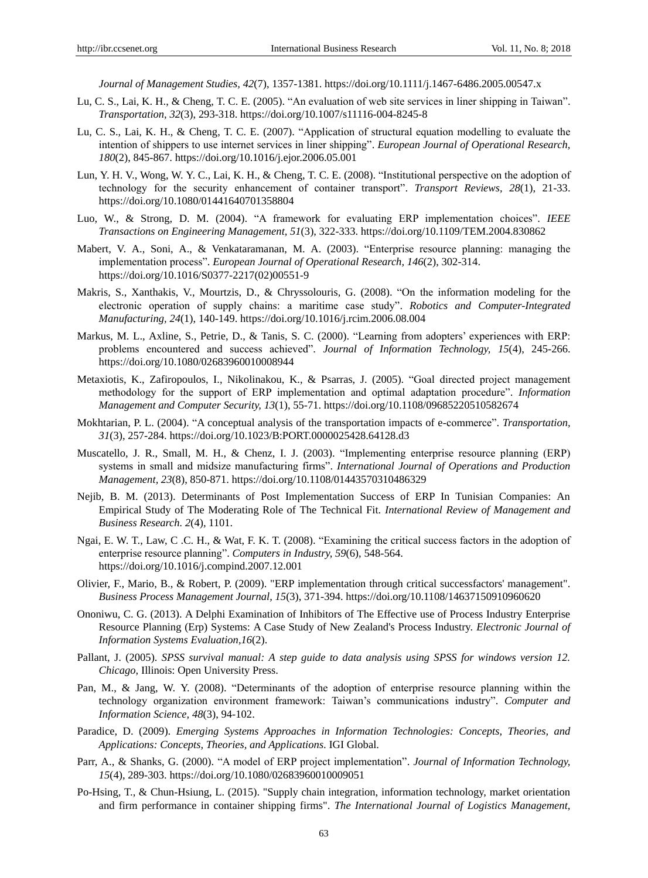*Journal of Management Studies, 42*(7), 1357-1381. https://doi.org/10.1111/j.1467-6486.2005.00547.x

- Lu, C. S., Lai, K. H., & Cheng, T. C. E. (2005). "An evaluation of web site services in liner shipping in Taiwan". *Transportation, 32*(3), 293-318. https://doi.org/10.1007/s11116-004-8245-8
- Lu, C. S., Lai, K. H., & Cheng, T. C. E. (2007). "Application of structural equation modelling to evaluate the intention of shippers to use internet services in liner shipping". *European Journal of Operational Research, 180*(2), 845-867. https://doi.org/10.1016/j.ejor.2006.05.001
- Lun, Y. H. V., Wong, W. Y. C., Lai, K. H., & Cheng, T. C. E. (2008). "Institutional perspective on the adoption of technology for the security enhancement of container transport". *Transport Reviews, 28*(1), 21-33. https://doi.org/10.1080/01441640701358804
- Luo, W., & Strong, D. M. (2004). "A framework for evaluating ERP implementation choices". *IEEE Transactions on Engineering Management, 51*(3), 322-333. https://doi.org/10.1109/TEM.2004.830862
- Mabert, V. A., Soni, A., & Venkataramanan, M. A. (2003). "Enterprise resource planning: managing the implementation process". *European Journal of Operational Research, 146*(2), 302-314. https://doi.org/10.1016/S0377-2217(02)00551-9
- Makris, S., Xanthakis, V., Mourtzis, D., & Chryssolouris, G. (2008). "On the information modeling for the electronic operation of supply chains: a maritime case study". *Robotics and Computer-Integrated Manufacturing, 24*(1), 140-149. https://doi.org/10.1016/j.rcim.2006.08.004
- Markus, M. L., Axline, S., Petrie, D., & Tanis, S. C. (2000). "Learning from adopters' experiences with ERP: problems encountered and success achieved". *Journal of Information Technology, 15*(4), 245-266. https://doi.org/10.1080/02683960010008944
- Metaxiotis, K., Zafiropoulos, I., Nikolinakou, K., & Psarras, J. (2005). "Goal directed project management methodology for the support of ERP implementation and optimal adaptation procedure". *Information Management and Computer Security, 13*(1), 55-71. https://doi.org/10.1108/09685220510582674
- Mokhtarian, P. L. (2004). "A conceptual analysis of the transportation impacts of e-commerce". *Transportation, 31*(3), 257-284. https://doi.org/10.1023/B:PORT.0000025428.64128.d3
- Muscatello, J. R., Small, M. H., & Chenz, I. J. (2003). "Implementing enterprise resource planning (ERP) systems in small and midsize manufacturing firms". *International Journal of Operations and Production Management, 23*(8), 850-871. https://doi.org/10.1108/01443570310486329
- Nejib, B. M. (2013). Determinants of Post Implementation Success of ERP In Tunisian Companies: An Empirical Study of The Moderating Role of The Technical Fit. *International Review of Management and Business Research. 2*(4), 1101.
- Ngai, E. W. T., Law, C .C. H., & Wat, F. K. T. (2008). "Examining the critical success factors in the adoption of enterprise resource planning". *Computers in Industry, 59*(6), 548-564. https://doi.org/10.1016/j.compind.2007.12.001
- Olivier, F., Mario, B., & Robert, P. (2009). "ERP implementation through critical successfactors' management". *Business Process Management Journal, 15*(3), 371-394. https://doi.org/10.1108/14637150910960620
- Ononiwu, C. G. (2013). A Delphi Examination of Inhibitors of The Effective use of Process Industry Enterprise Resource Planning (Erp) Systems: A Case Study of New Zealand's Process Industry. *Electronic Journal of Information Systems Evaluation,16*(2).
- Pallant, J. (2005). *SPSS survival manual: A step guide to data analysis using SPSS for windows version 12. Chicago*, Illinois: Open University Press.
- Pan, M., & Jang, W. Y. (2008). "Determinants of the adoption of enterprise resource planning within the technology organization environment framework: Taiwan's communications industry". *Computer and Information Science, 48*(3), 94-102.
- Paradice, D. (2009). *Emerging Systems Approaches in Information Technologies: Concepts, Theories, and Applications: Concepts, Theories, and Applications*. IGI Global.
- Parr, A., & Shanks, G. (2000). "A model of ERP project implementation". *Journal of Information Technology, 15*(4), 289-303. https://doi.org/10.1080/02683960010009051
- Po-Hsing, T., & Chun-Hsiung, L. (2015). "Supply chain integration, information technology, market orientation and firm performance in container shipping firms". *The International Journal of Logistics Management,*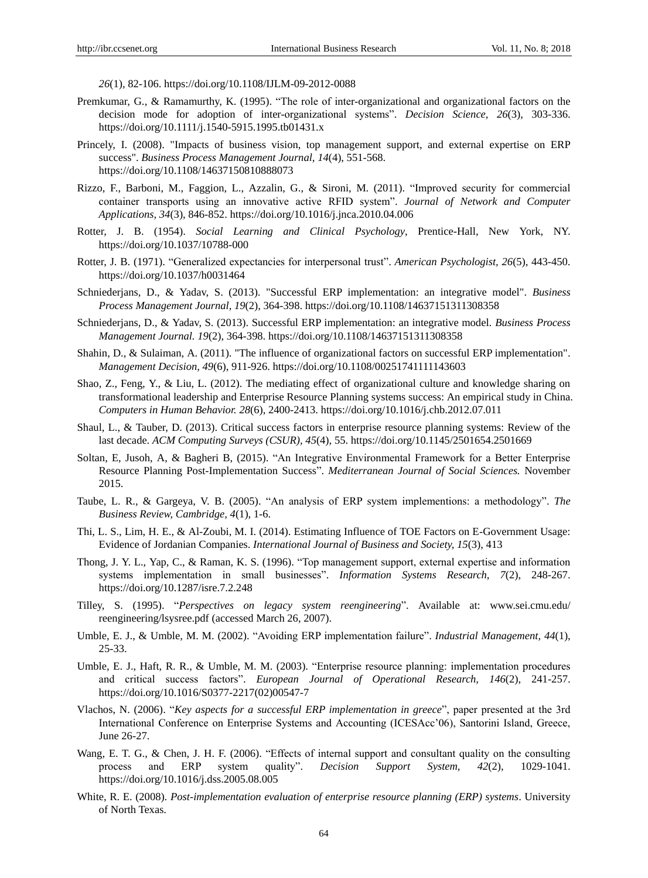*26*(1), 82-106. https://doi.org/10.1108/IJLM-09-2012-0088

- Premkumar, G., & Ramamurthy, K. (1995). "The role of inter-organizational and organizational factors on the decision mode for adoption of inter-organizational systems". *Decision Science, 26*(3), 303-336. https://doi.org/10.1111/j.1540-5915.1995.tb01431.x
- Princely, I. (2008). "Impacts of business vision, top management support, and external expertise on ERP success". *Business Process Management Journal, 14*(4), 551-568. https://doi.org/10.1108/14637150810888073
- Rizzo, F., Barboni, M., Faggion, L., Azzalin, G., & Sironi, M. (2011). "Improved security for commercial container transports using an innovative active RFID system". *Journal of Network and Computer Applications, 34*(3), 846-852. https://doi.org/10.1016/j.jnca.2010.04.006
- Rotter, J. B. (1954). *Social Learning and Clinical Psychology*, Prentice-Hall, New York, NY. https://doi.org/10.1037/10788-000
- Rotter, J. B. (1971). "Generalized expectancies for interpersonal trust". *American Psychologist, 26*(5), 443-450. https://doi.org/10.1037/h0031464
- Schniederjans, D., & Yadav, S. (2013). "Successful ERP implementation: an integrative model". *Business Process Management Journal, 19*(2), 364-398. https://doi.org/10.1108/14637151311308358
- Schniederjans, D., & Yadav, S. (2013). Successful ERP implementation: an integrative model. *Business Process Management Journal. 19*(2), 364-398. https://doi.org/10.1108/14637151311308358
- Shahin, D., & Sulaiman, A. (2011). "The influence of organizational factors on successful ERP implementation". *Management Decision, 49*(6), 911-926. https://doi.org/10.1108/00251741111143603
- Shao, Z., Feng, Y., & Liu, L. (2012). The mediating effect of organizational culture and knowledge sharing on transformational leadership and Enterprise Resource Planning systems success: An empirical study in China. *Computers in Human Behavior. 28*(6), 2400-2413. https://doi.org/10.1016/j.chb.2012.07.011
- Shaul, L., & Tauber, D. (2013). Critical success factors in enterprise resource planning systems: Review of the last decade. *ACM Computing Surveys (CSUR), 45*(4), 55. https://doi.org/10.1145/2501654.2501669
- Soltan, E, Jusoh, A, & Bagheri B, (2015). "An Integrative Environmental Framework for a Better Enterprise Resource Planning Post-Implementation Success". *Mediterranean Journal of Social Sciences.* November 2015.
- Taube, L. R., & Gargeya, V. B. (2005). "An analysis of ERP system implementions: a methodology". *The Business Review, Cambridge, 4*(1), 1-6.
- Thi, L. S., Lim, H. E., & Al-Zoubi, M. I. (2014). Estimating Influence of TOE Factors on E-Government Usage: Evidence of Jordanian Companies. *International Journal of Business and Society, 15*(3), 413
- Thong, J. Y. L., Yap, C., & Raman, K. S. (1996). "Top management support, external expertise and information systems implementation in small businesses". *Information Systems Research, 7*(2), 248-267. https://doi.org/10.1287/isre.7.2.248
- Tilley, S. (1995). "*Perspectives on legacy system reengineering*". Available at: [www.sei.cmu.edu/](http://www.sei.cmu.edu/) reengineering/lsysree.pdf (accessed March 26, 2007).
- Umble, E. J., & Umble, M. M. (2002). "Avoiding ERP implementation failure". *Industrial Management, 44*(1), 25-33.
- Umble, E. J., Haft, R. R., & Umble, M. M. (2003). "Enterprise resource planning: implementation procedures and critical success factors". *European Journal of Operational Research, 146*(2), 241-257. https://doi.org/10.1016/S0377-2217(02)00547-7
- Vlachos, N. (2006). "*Key aspects for a successful ERP implementation in greece*", paper presented at the 3rd International Conference on Enterprise Systems and Accounting (ICESAcc'06), Santorini Island, Greece, June 26-27.
- Wang, E. T. G., & Chen, J. H. F. (2006). "Effects of internal support and consultant quality on the consulting process and ERP system quality". *Decision Support System, 42*(2), 1029-1041. https://doi.org/10.1016/j.dss.2005.08.005
- White, R. E. (2008). *Post-implementation evaluation of enterprise resource planning (ERP) systems*. University of North Texas.